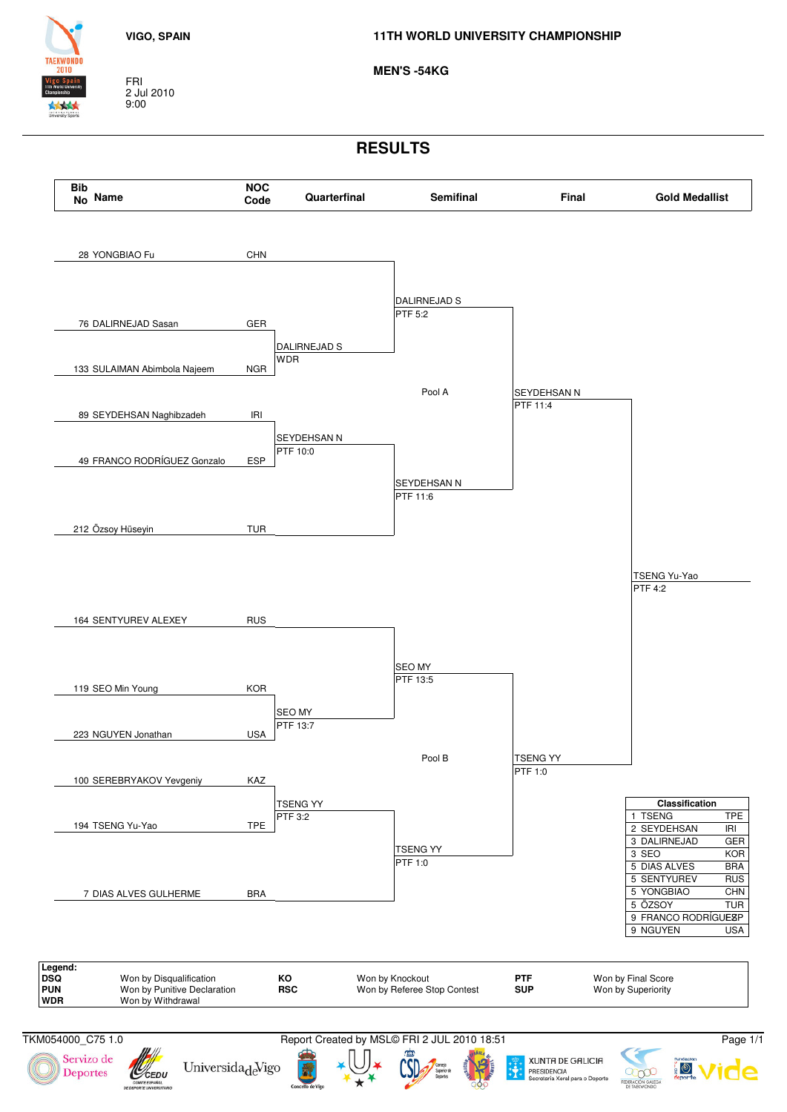FRI 2 Jul 2010 9:00

**TAFKWONDO** 2010

55555

**MEN'S -54KG**

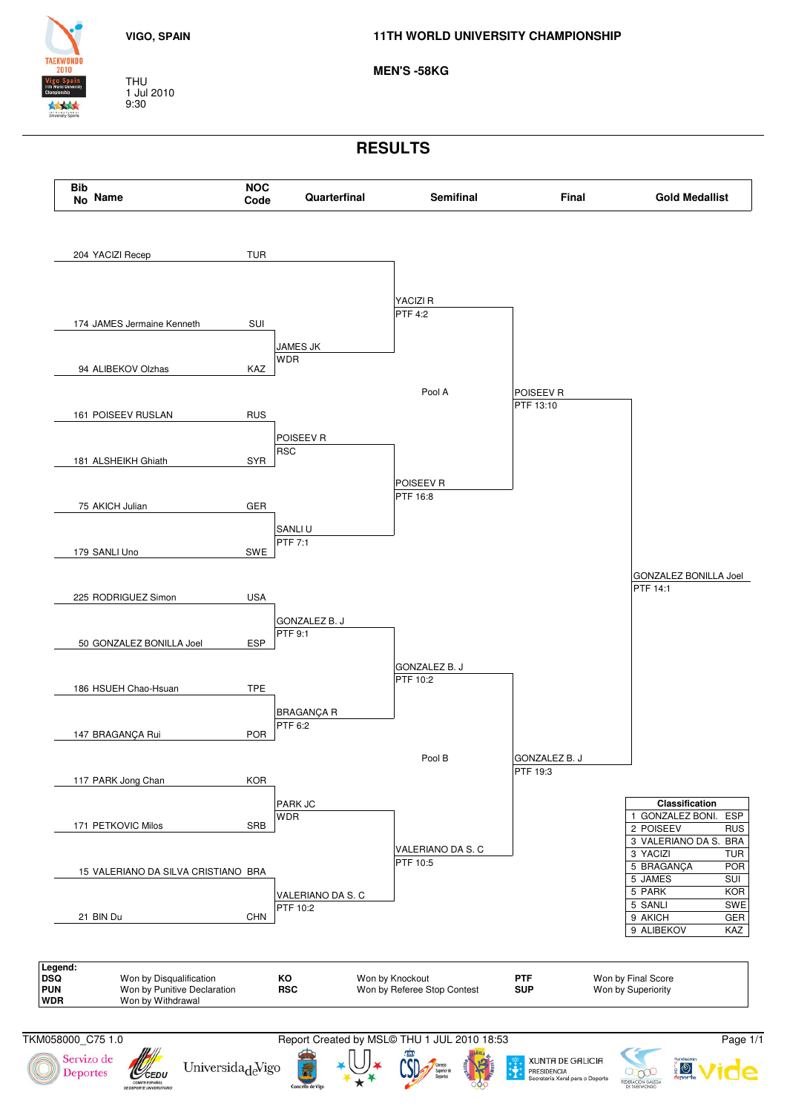THU 1 Jul 2010 9:30

**TAFKWONDO** 2010

55555

**MEN'S -58KG**

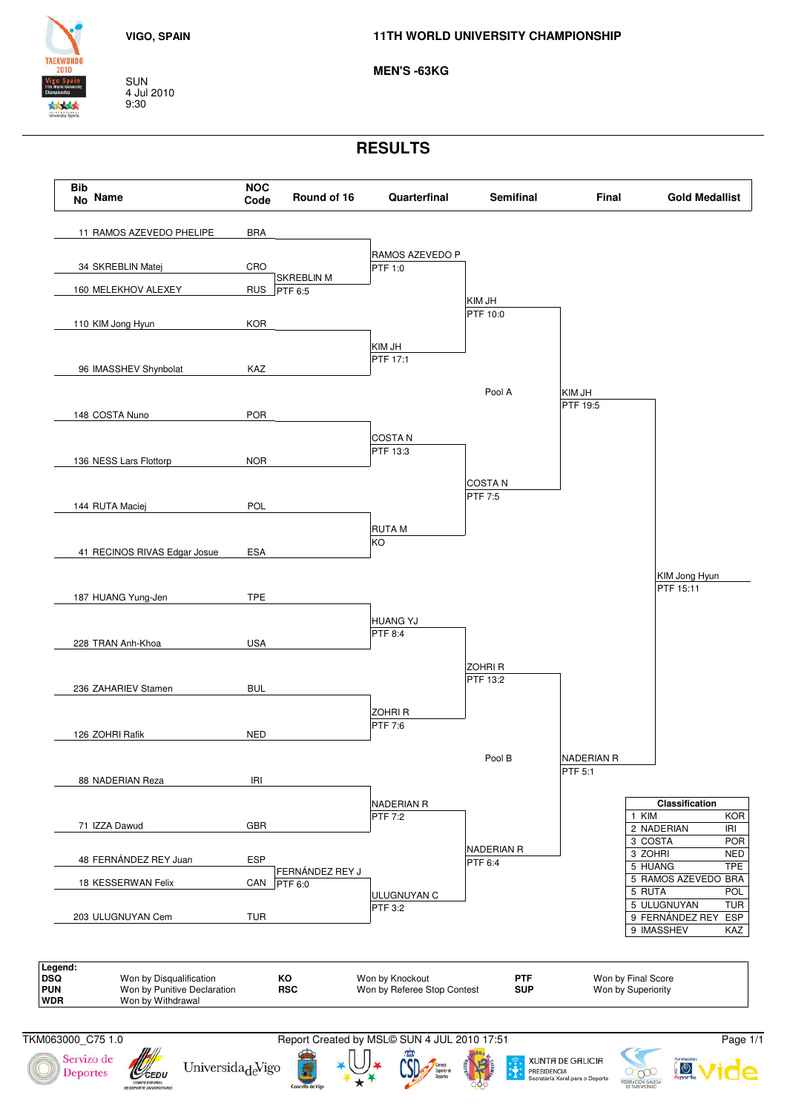

**TAFKWONDO** 2010

**Adams** 

**11TH WORLD UNIVERSITY CHAMPIONSHIP**

**MEN'S -63KG**

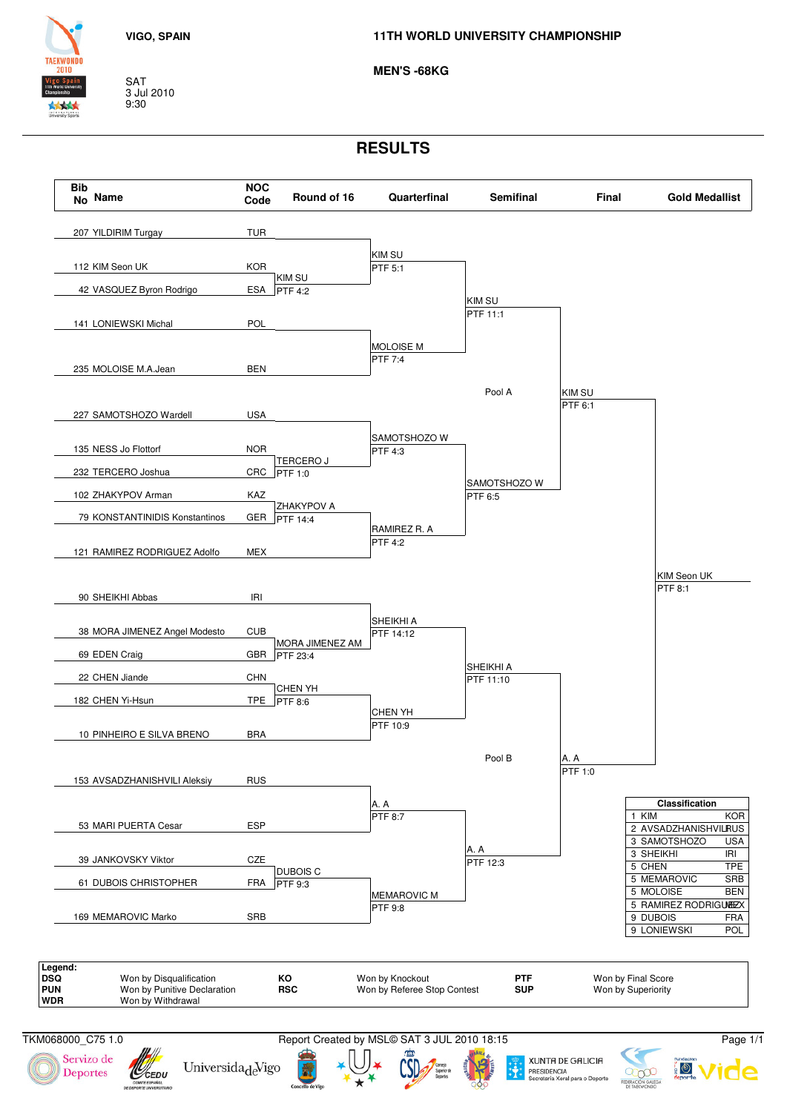



**TAFKWONDO** 2010

**André** 

**MEN'S -68KG**

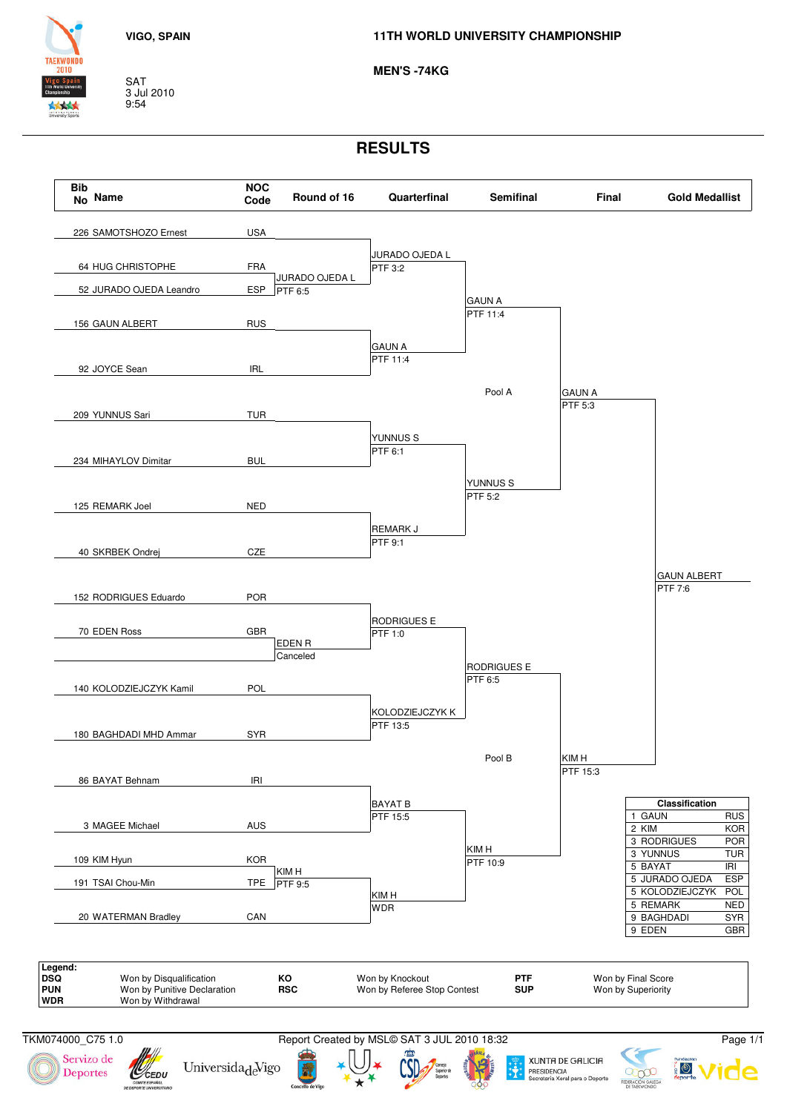



**TAFKWONDO** 2010

**Adams** 

**MEN'S -74KG**

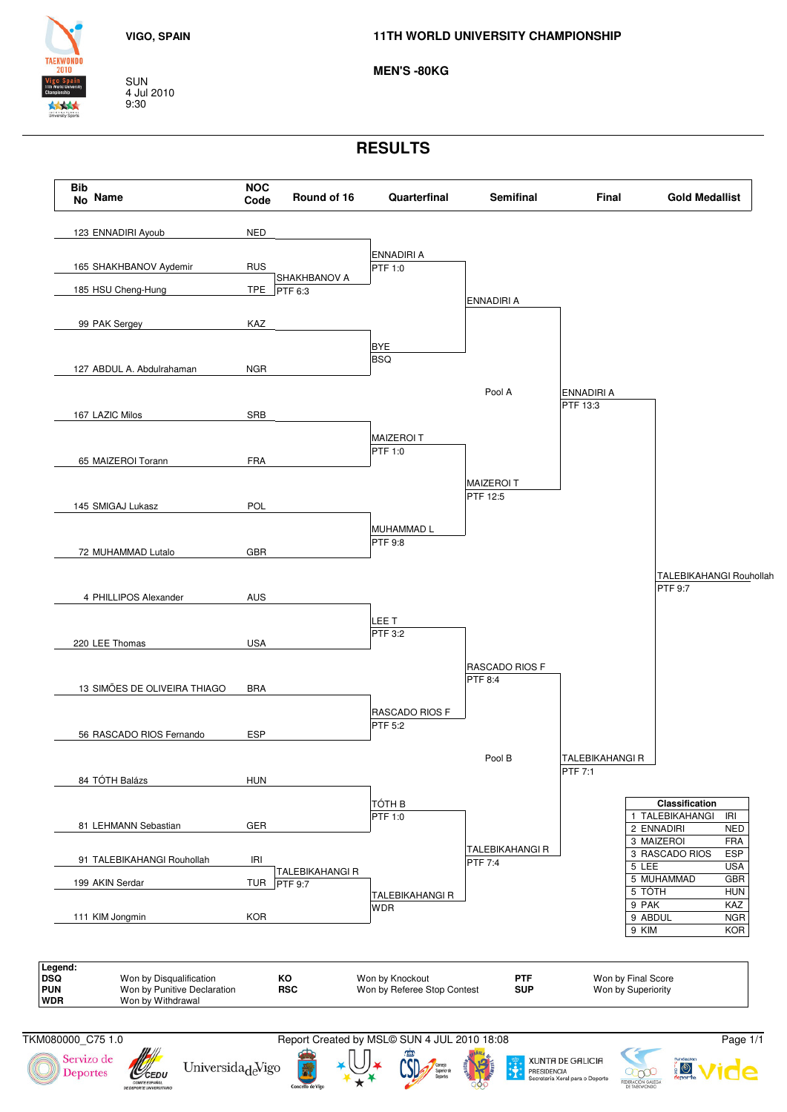

**TAFKWONDO** 2010

**MARK** 

**MEN'S -80KG**

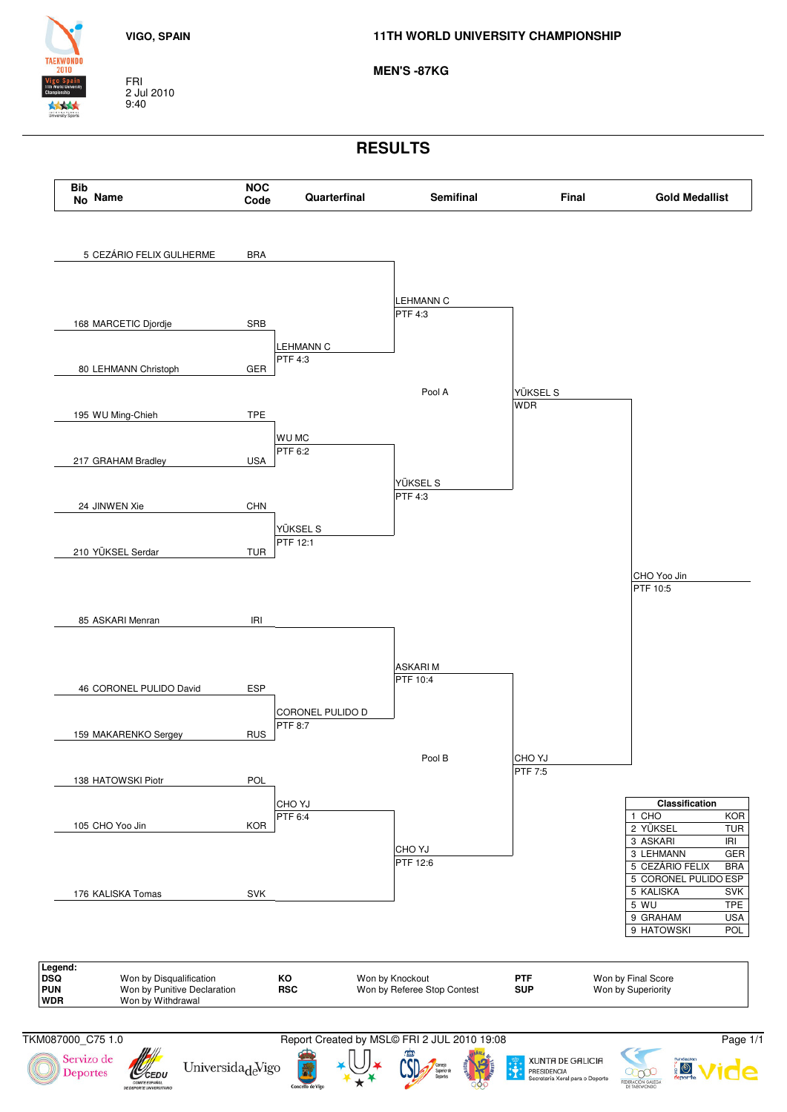

**TAFKWONDO** 2010

\*\*\*\*

**11TH WORLD UNIVERSITY CHAMPIONSHIP**

**MEN'S -87KG**

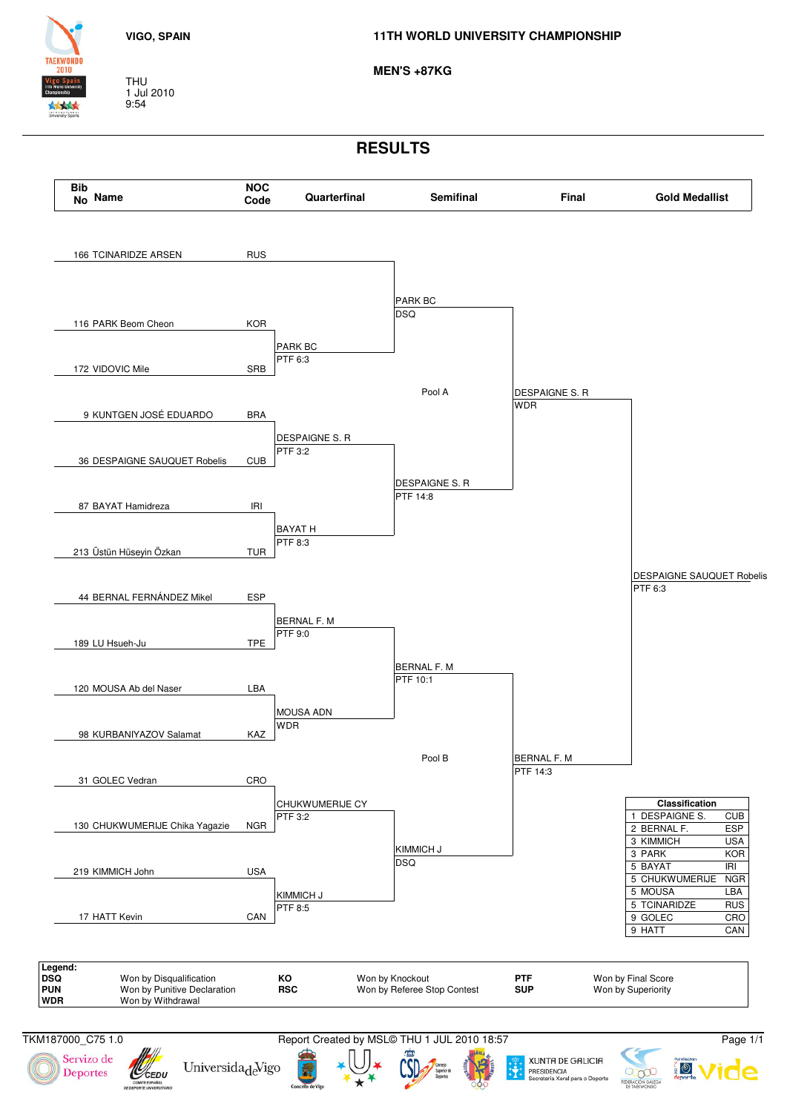



**TAFKWONDO** 2010

**MARK** 

**MEN'S +87KG**

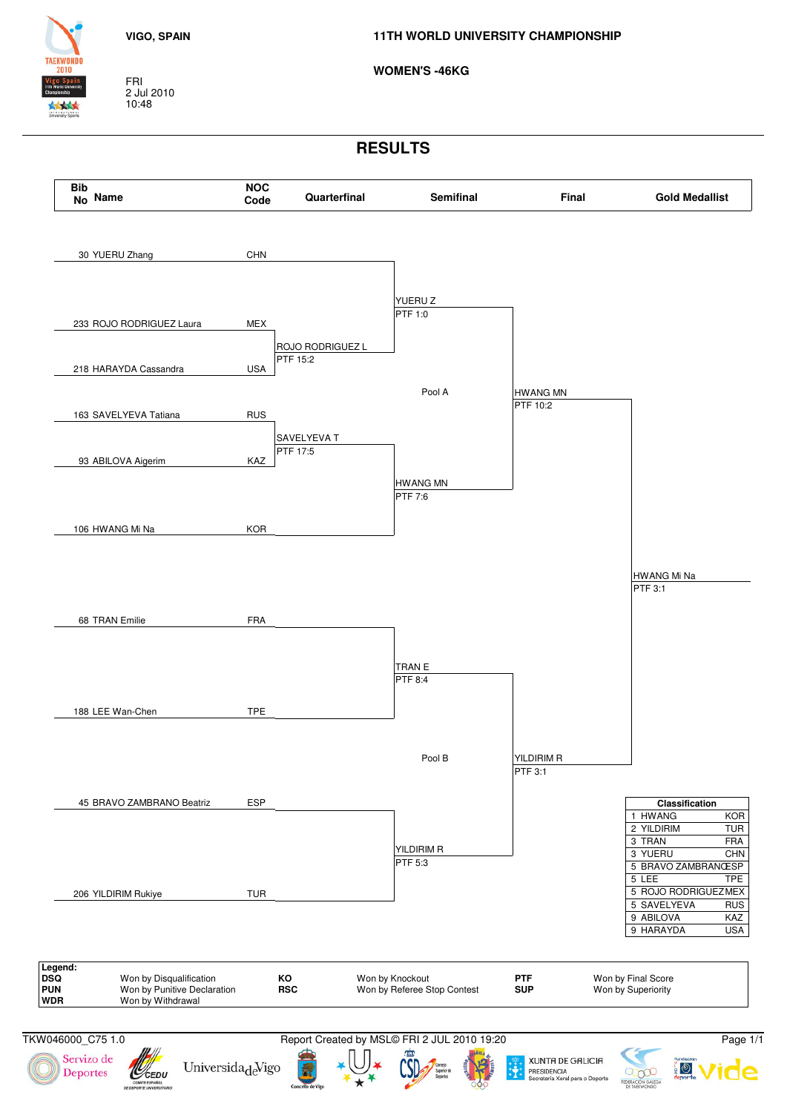FRI 2 Jul 2010 10:48

**TAFKWONDO** 2010

\*\*\*\*

**WOMEN'S -46KG**

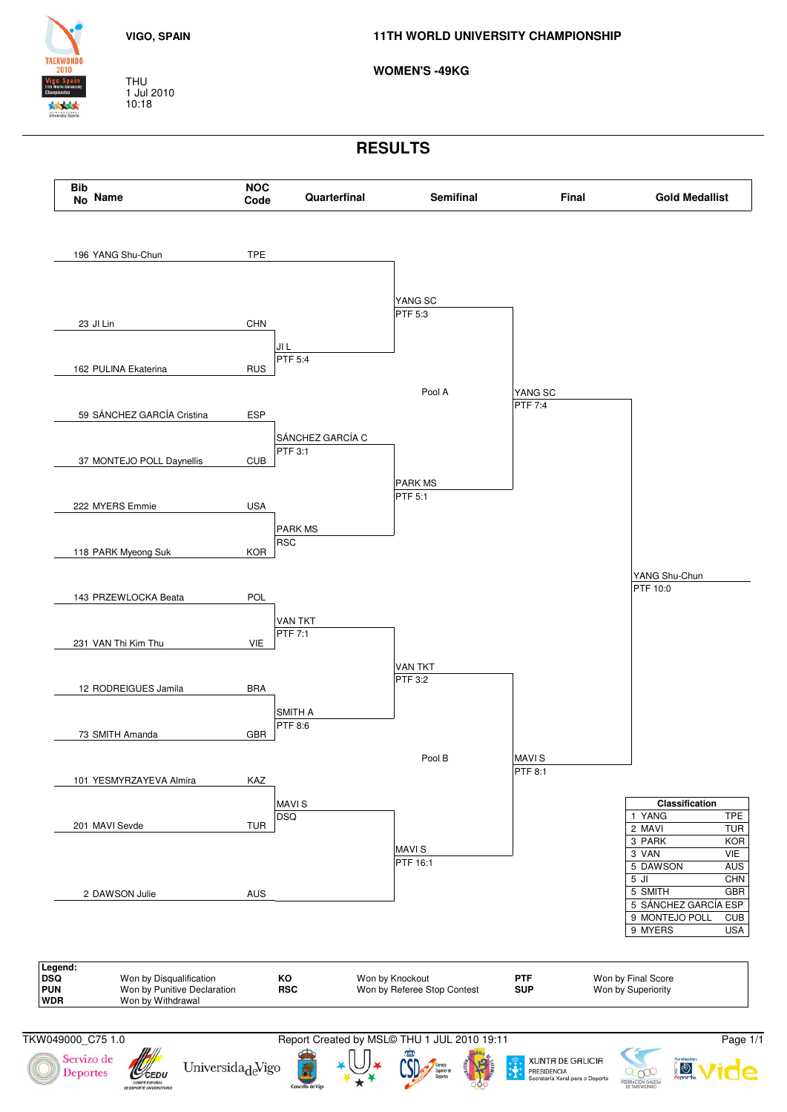THU 1 Jul 2010 10:18

**WOMEN'S -49KG**



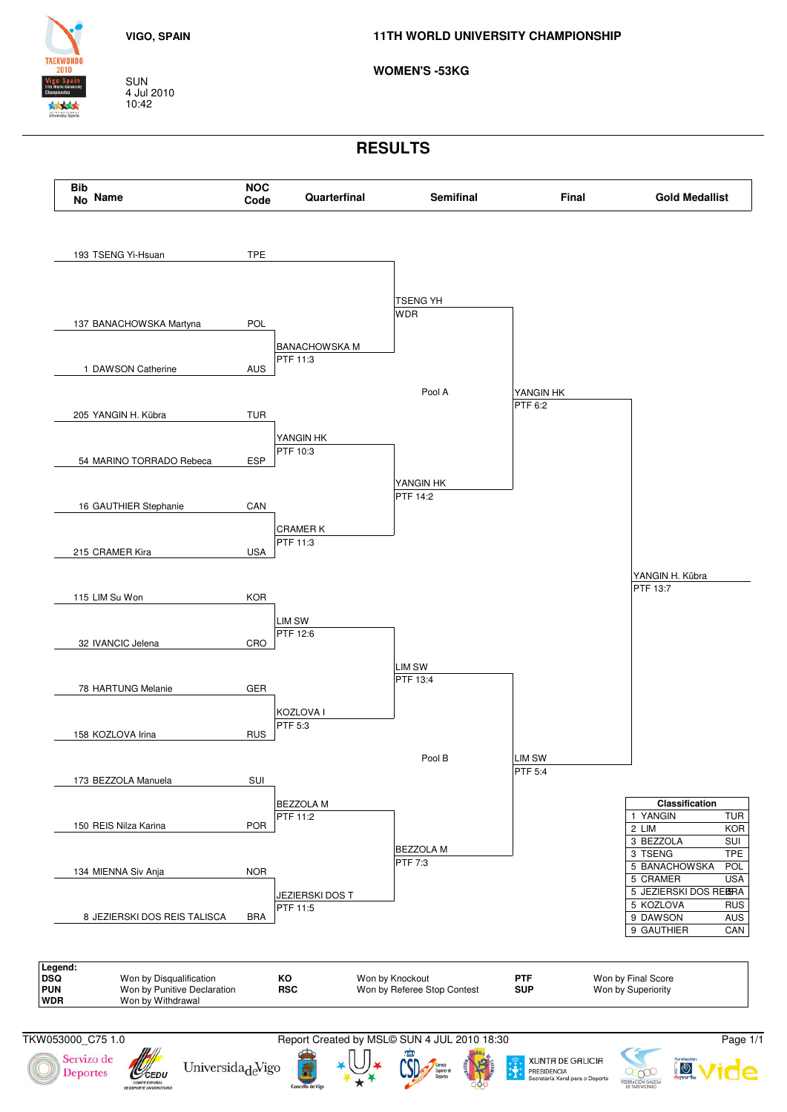SUN 4 Jul 2010 10:42

**WOMEN'S -53KG**



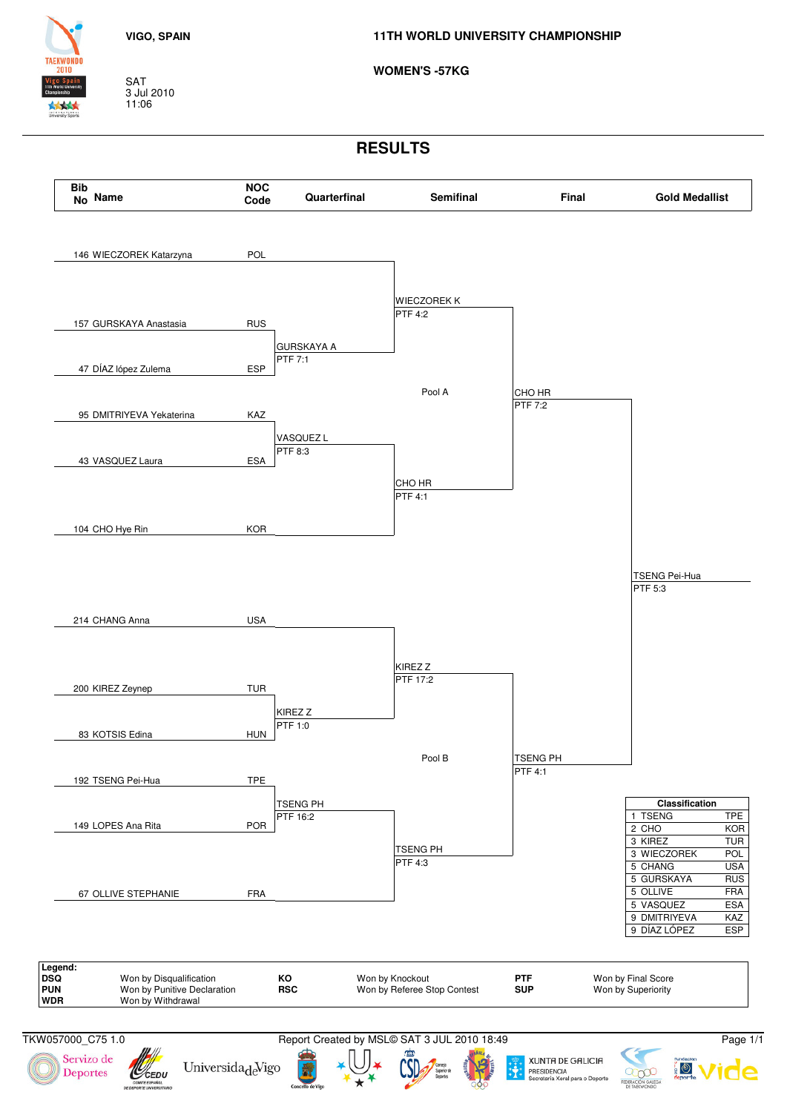

**TAFKWONDO** 2010

\*\*\*\*

**11TH WORLD UNIVERSITY CHAMPIONSHIP**

**WOMEN'S -57KG**

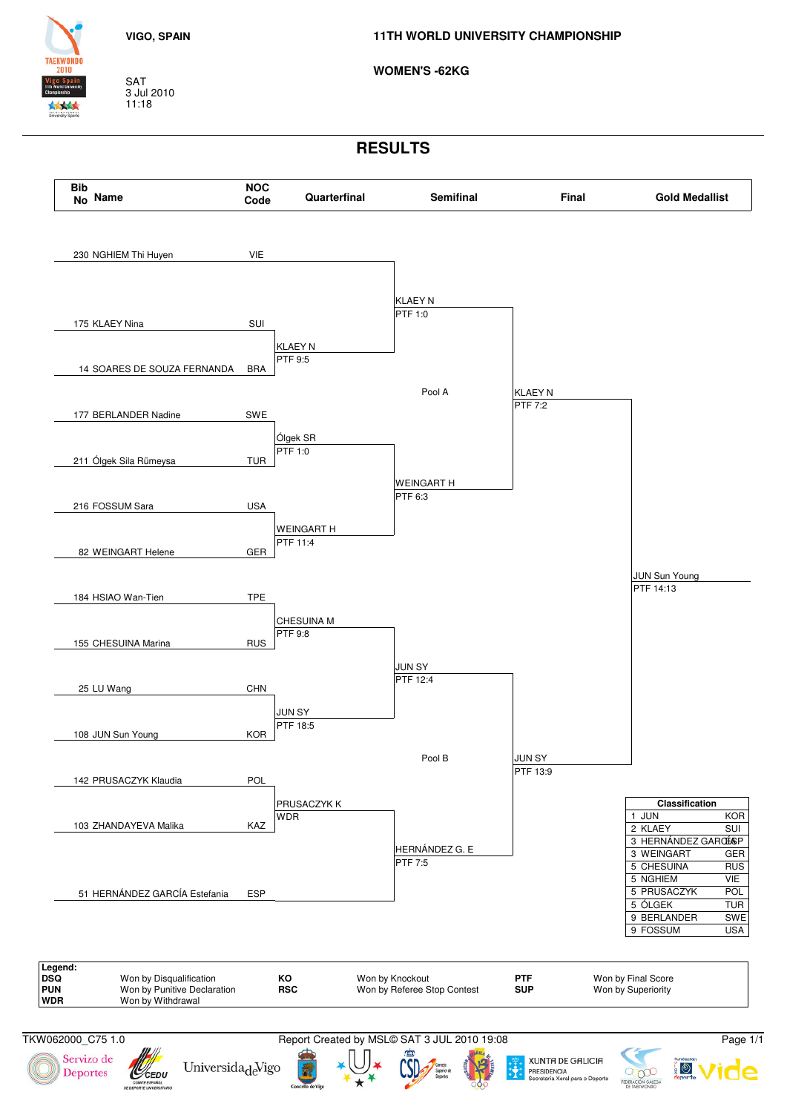SAT 3 Jul 2010 11:18

**TAFKWONDO** 2010

55555

**WOMEN'S -62KG**

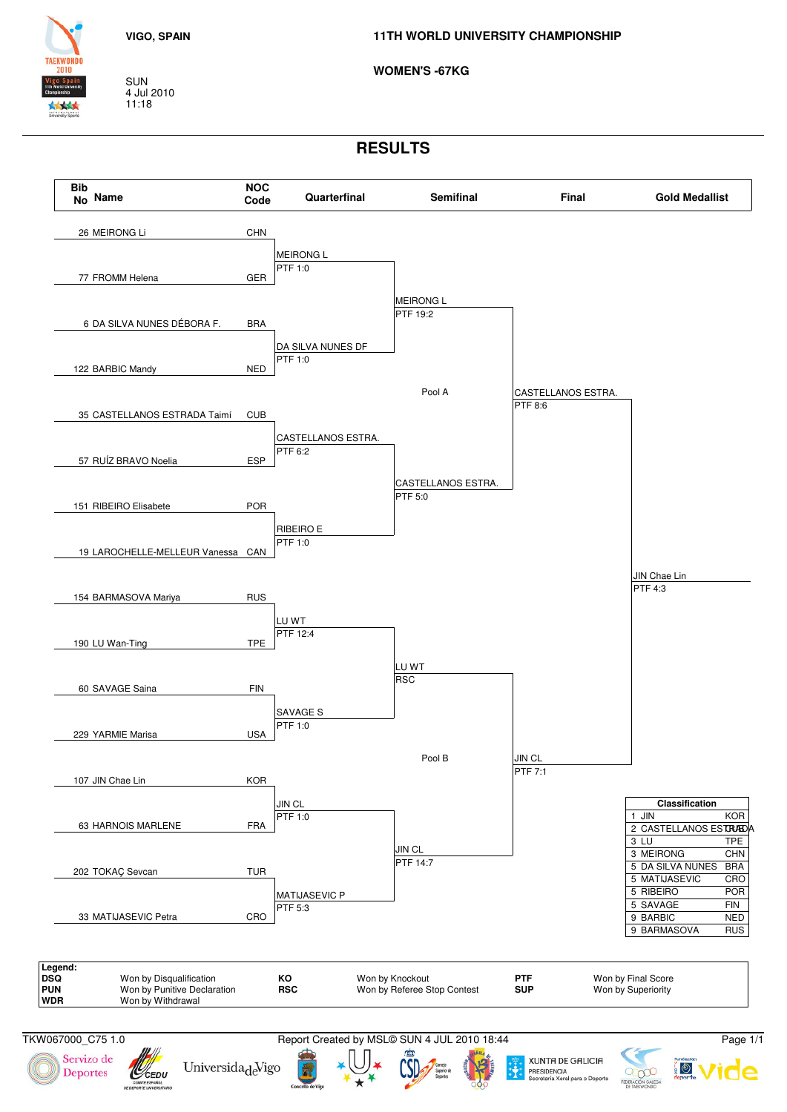

SUN 4 Jul 2010 11:18

**TAFKWONDO** 2010

**MARK** 

**WOMEN'S -67KG**

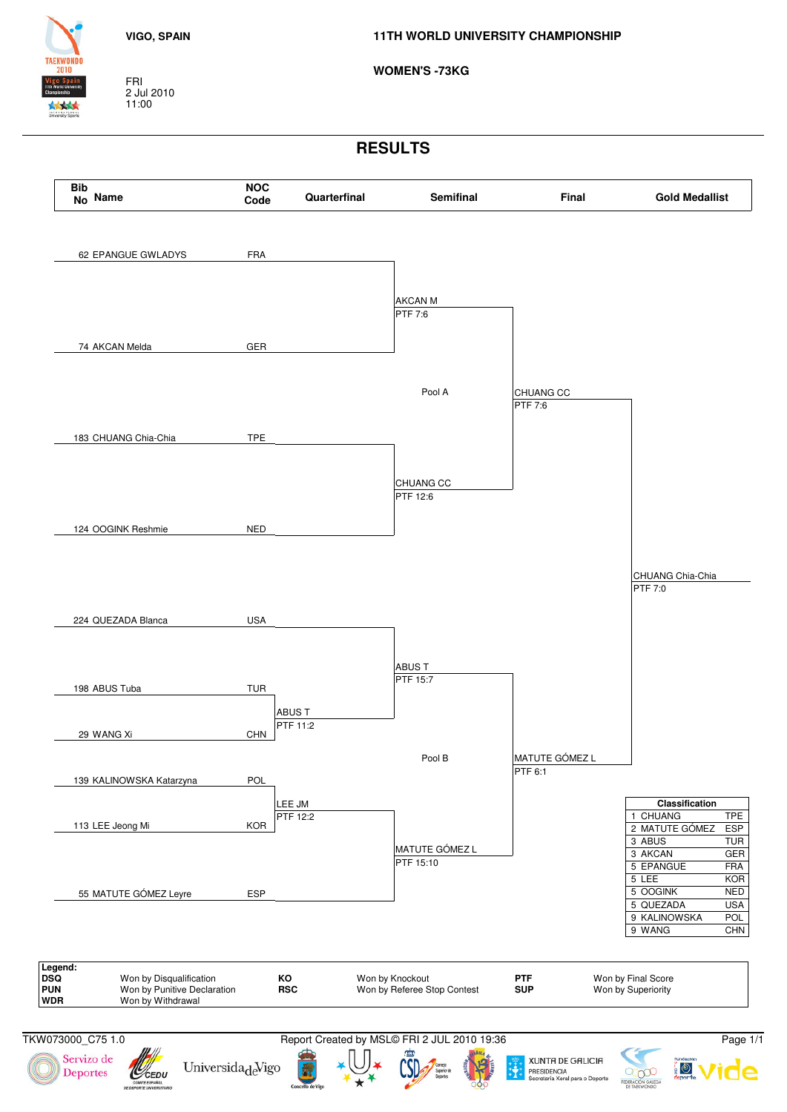FRI 2 Jul 2010 11:00

**TAFKWONDO** 2010

\*\*\*\*

**WOMEN'S -73KG**